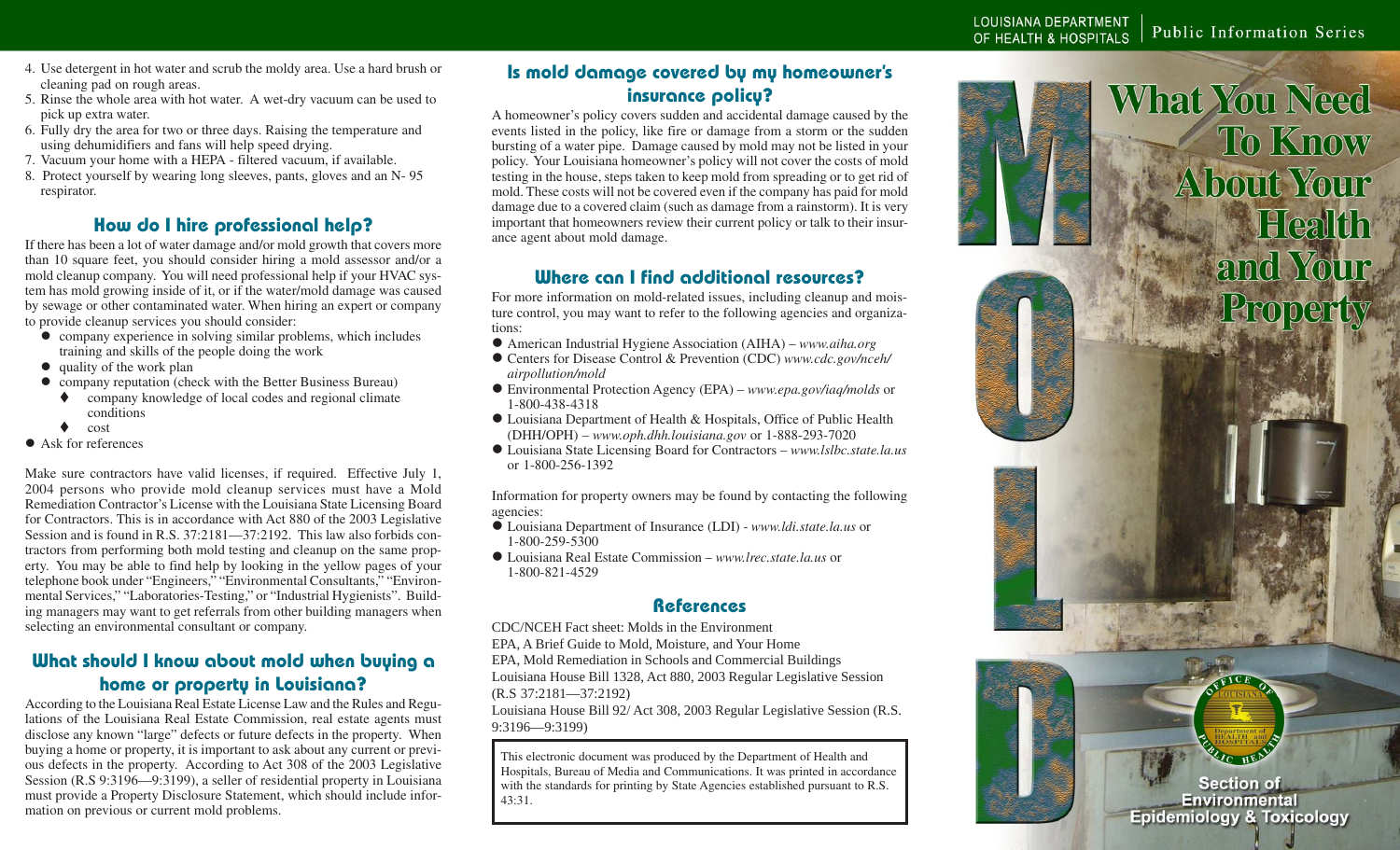- 4. Use detergent in hot water and scrub the moldy area. Use a hard brush or cleaning pad on rough areas.
- 5. Rinse the whole area with hot water. A wet-dry vacuum can be used to pick up extra water.
- 6. Fully dry the area for two or three days. Raising the temperature and using dehumidifiers and fans will help speed drying.
- 7. Vacuum your home with a HEPA filtered vacuum, if available.
- 8. Protect yourself by wearing long sleeves, pants, gloves and an N- 95 respirator.

## **How do I hire professional help?**

If there has been a lot of water damage and/or mold growth that covers more than 10 square feet, you should consider hiring a mold assessor and/or a mold cleanup company. You will need professional help if your HVAC system has mold growing inside of it, or if the water/mold damage was caused by sewage or other contaminated water. When hiring an expert or company to provide cleanup services you should consider:

- company experience in solving similar problems, which includes training and skills of the people doing the work
- $\bullet$  quality of the work plan
- company reputation (check with the Better Business Bureau)
	- company knowledge of local codes and regional climate conditions
	- $\bullet$  cost
- $\bullet$  Ask for references

Make sure contractors have valid licenses, if required. Effective July 1, 2004 persons who provide mold cleanup services must have a Mold Remediation Contractor's License with the Louisiana State Licensing Board for Contractors. This is in accordance with Act 880 of the 2003 Legislative Session and is found in R.S. 37:2181—37:2192. This law also forbids contractors from performing both mold testing and cleanup on the same property. You may be able to find help by looking in the yellow pages of your telephone book under "Engineers," "Environmental Consultants," "Environmental Services," "Laboratories-Testing," or "Industrial Hygienists". Building managers may want to get referrals from other building managers when selecting an environmental consultant or company.

## **What should I know about mold when buying a home or property in Louisiana?**

According to the Louisiana Real Estate License Law and the Rules and Regulations of the Louisiana Real Estate Commission, real estate agents must disclose any known "large" defects or future defects in the property. When buying a home or property, it is important to ask about any current or previous defects in the property. According to Act 308 of the 2003 Legislative Session (R.S 9:3196—9:3199), a seller of residential property in Louisiana must provide a Property Disclosure Statement, which should include information on previous or current mold problems.

# **Is mold damage covered by my homeowner's insurance policy?**

A homeowner's policy covers sudden and accidental damage caused by the events listed in the policy, like fire or damage from a storm or the sudden bursting of a water pipe. Damage caused by mold may not be listed in your policy. Your Louisiana homeowner's policy will not cover the costs of mold testing in the house, steps taken to keep mold from spreading or to get rid of mold. These costs will not be covered even if the company has paid for mold damage due to a covered claim (such as damage from a rainstorm). It is very important that homeowners review their current policy or talk to their insurance agent about mold damage.

## **Where can I find additional resources?**

For more information on mold-related issues, including cleanup and moisture control, you may want to refer to the following agencies and organizations:

- American Industrial Hygiene Association (AIHA) *www.aiha.org*
- Centers for Disease Control & Prevention (CDC) *www.cdc.gov/nceh/ airpollution/mold*
- Environmental Protection Agency (EPA) *www.epa.gov/iaq/molds* or 1-800-438-4318
- Louisiana Department of Health & Hospitals, Office of Public Health (DHH/OPH) – *www.oph.dhh.louisiana.gov* or 1-888-293-7020
- z Louisiana State Licensing Board for Contractors *www.lslbc.state.la.us* or 1-800-256-1392

Information for property owners may be found by contacting the following agencies:

- z Louisiana Department of Insurance (LDI) *www.ldi.state.la.us* or 1-800-259-5300
- z Louisiana Real Estate Commission *www.lrec.state.la.us* or 1-800-821-4529

#### **References**

CDC/NCEH Fact sheet: Molds in the Environment

EPA, A Brief Guide to Mold, Moisture, and Your Home

EPA, Mold Remediation in Schools and Commercial Buildings

Louisiana House Bill 1328, Act 880, 2003 Regular Legislative Session (R.S 37:2181—37:2192)

Louisiana House Bill 92/ Act 308, 2003 Regular Legislative Session (R.S. 9:3196—9:3199)

This electronic document was produced by the Department of Health and Hospitals, Bureau of Media and Communications. It was printed in accordance with the standards for printing by State Agencies established pursuant to R.S. 43:31.

**What You Need To Know About Your** Health and Your Property

**Section of Environmental Epidemiology & Toxicology**